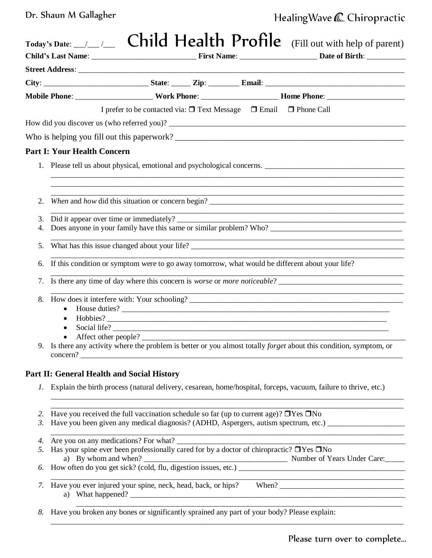Dr. Shaun M Gallagher

## Healing Wave & Chiropractic

|    | Today's Date: $\angle$ $\angle$ Child Health Profile (Fill out with help of parent)                                                                            |
|----|----------------------------------------------------------------------------------------------------------------------------------------------------------------|
|    |                                                                                                                                                                |
|    |                                                                                                                                                                |
|    | Mobile Phone: __________________________Work Phone: __________________________Home Phone: ____________________                                                 |
|    | I prefer to be contacted via: □ Text Message □ Email □ Phone Call                                                                                              |
|    |                                                                                                                                                                |
|    |                                                                                                                                                                |
|    | <b>Part I: Your Health Concern</b>                                                                                                                             |
|    |                                                                                                                                                                |
|    |                                                                                                                                                                |
| 2. |                                                                                                                                                                |
| 3. |                                                                                                                                                                |
| 4. |                                                                                                                                                                |
| 5. |                                                                                                                                                                |
| 6. | If this condition or symptom were to go away tomorrow, what would be different about your life?                                                                |
| 7. | Is there any time of day where this concern is <i>worse</i> or <i>more noticeable</i> ?                                                                        |
| 8. |                                                                                                                                                                |
|    | $\bullet$<br>$\bullet$                                                                                                                                         |
|    | $\bullet$                                                                                                                                                      |
|    | Affect other people?                                                                                                                                           |
|    | Is there any activity where the problem is better or you almost totally <i>forget</i> about this condition, symptom, or                                        |
|    | Part II: General Health and Social History                                                                                                                     |
|    | 1. Explain the birth process (natural delivery, cesarean, home/hospital, forceps, vacuum, failure to thrive, etc.)                                             |
| 2. | Have you received the full vaccination schedule so far (up to current age)? $\Box$ Yes $\Box$ No                                                               |
| 3. | Have you been given any medical diagnosis? (ADHD, Aspergers, autism spectrum, etc.) __________________________                                                 |
| 4. | Are you on any medications? For what?<br><u> 1989 - Johann Harrison, mars eta industrial eta industrial eta industrial eta industrial eta industrial eta i</u> |
| 5. | Has your spine ever been professionally cared for by a doctor of chiropractic? $\Box$ Yes $\Box$ No                                                            |
| 6. | a) By whom and when? Number of Years Under Care:                                                                                                               |
| 7. |                                                                                                                                                                |
| 8. | Have you broken any bones or significantly sprained any part of your body? Please explain:                                                                     |